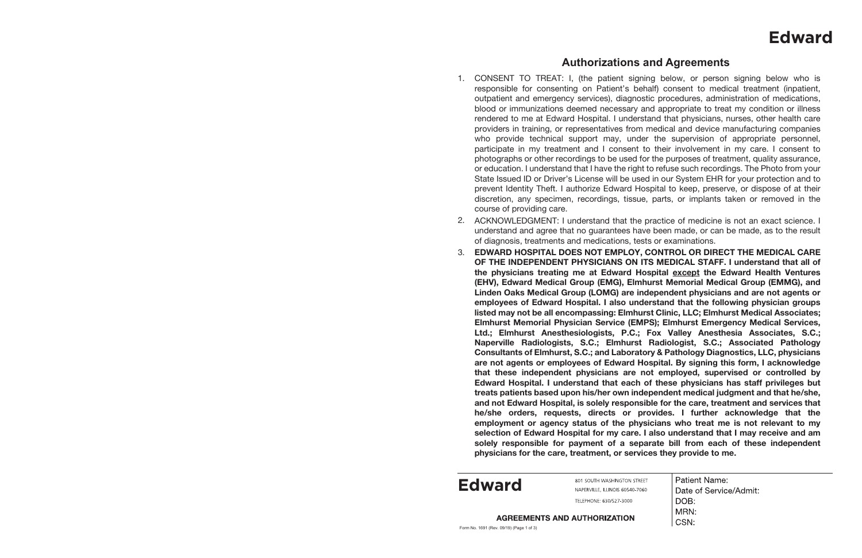## **Authorizations and Agreements**

1. CONSENT TO TREAT: I, (the patient signing below, or person signing below who is responsible for consenting on Patient's behalf) consent to medical treatment (inpatient, outpatient and emergency services), diagnostic procedures, administration of medications, blood or immunizations deemed necessary and appropriate to treat my condition or illness rendered to me at Edward Hospital. I understand that physicians, nurses, other health care providers in training, or representatives from medical and device manufacturing companies who provide technical support may, under the supervision of appropriate personnel, participate in my treatment and I consent to their involvement in my care. I consent to photographs or other recordings to be used for the purposes of treatment, quality assurance, or education. I understand that I have the right to refuse such recordings. The Photo from your State Issued ID or Driver's License will be used in our System EHR for your protection and to prevent Identity Theft. I authorize Edward Hospital to keep, preserve, or dispose of at their discretion, any specimen, recordings, tissue, parts, or implants taken or removed in the

2. ACKNOWLEDGMENT: I understand that the practice of medicine is not an exact science. I understand and agree that no guarantees have been made, or can be made, as to the result

- course of providing care.
- of diagnosis, treatments and medications, tests or examinations.
- 3. **physicians for the care, treatment, or services they provide to me.**

**EDWARD HOSPITAL DOES NOT EMPLOY, CONTROL OR DIRECT THE MEDICAL CARE OF THE INDEPENDENT PHYSICIANS ON ITS MEDICAL STAFF. I understand that all of the physicians treating me at Edward Hospital except the Edward Health Ventures (EHV), Edward Medical Group (EMG), Elmhurst Memorial Medical Group (EMMG), and Linden Oaks Medical Group (LOMG) are independent physicians and are not agents or employees of Edward Hospital. I also understand that the following physician groups listed may not be all encompassing: Elmhurst Clinic, LLC; Elmhurst Medical Associates; Elmhurst Memorial Physician Service (EMPS); Elmhurst Emergency Medical Services, Ltd.; Elmhurst Anesthesiologists, P.C.; Fox Valley Anesthesia Associates, S.C.; Naperville Radiologists, S.C.; Elmhurst Radiologist, S.C.; Associated Pathology Consultants of Elmhurst, S.C.; and Laboratory & Pathology Diagnostics, LLC, physicians are not agents or employees of Edward Hospital. By signing this form, I acknowledge that these independent physicians are not employed, supervised or controlled by Edward Hospital. I understand that each of these physicians has staff privileges but treats patients based upon his/her own independent medical judgment and that he/she, and not Edward Hospital, is solely responsible for the care, treatment and services that he/she orders, requests, directs or provides. I further acknowledge that the employment or agency status of the physicians who treat me is not relevant to my selection of Edward Hospital for my care. I also understand that I may receive and am solely responsible for payment of a separate bill from each of these independent** 

| <b>STREET</b> | <b>Patient Name:</b>   |
|---------------|------------------------|
| 10-7060       | Date of Service/Admit: |
|               | DOB:                   |
| N             | MRN:                   |
|               | CSN:                   |

## **Edward**

**Edward**

801 SOUTH WASHINGTON NAPERVILLE, ILLINOIS 6054 TELEPHONE: 630/527-3000

**AGREEMENTS AND AUTHORIZATION**